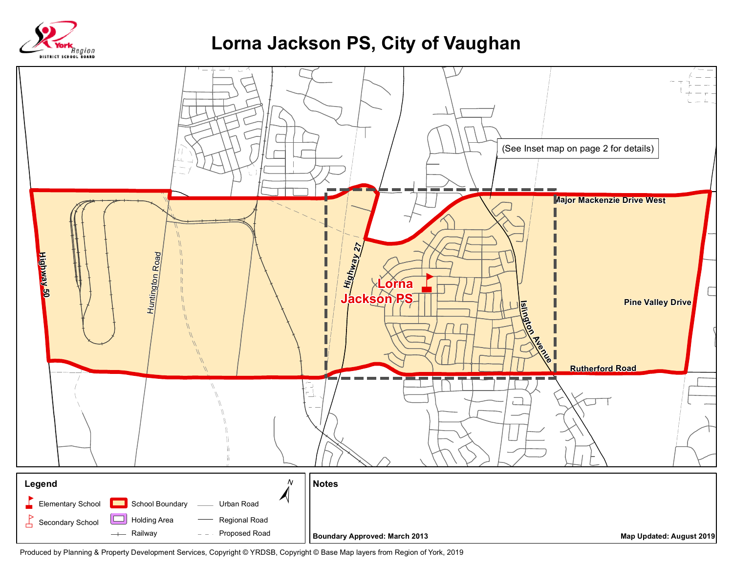

## **Lorna Jackson PS, City of Vaughan**



Produced by Planning & Property Development Services, Copyright © YRDSB, Copyright © Base Map layers from Region of York, 2019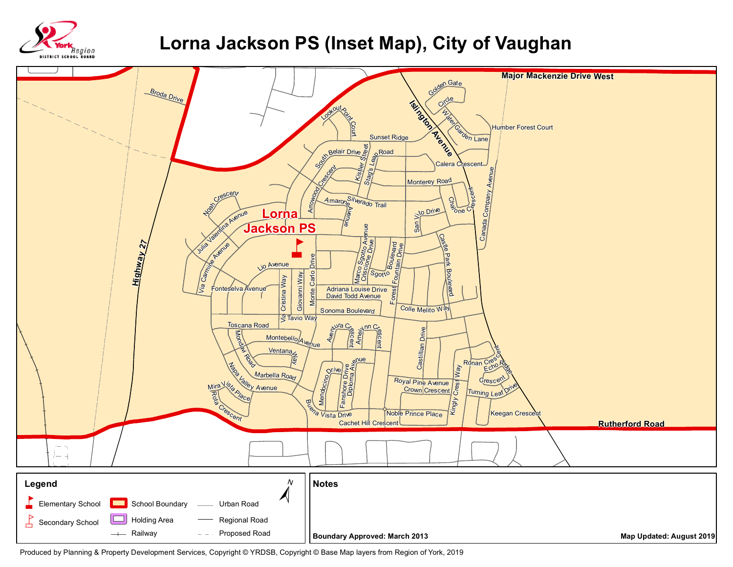

## **Lorna Jackson PS (Inset Map), City of Vaughan**



Produced by Planning & Property Development Services, Copyright © YRDSB, Copyright © Base Map layers from Region of York, 2019